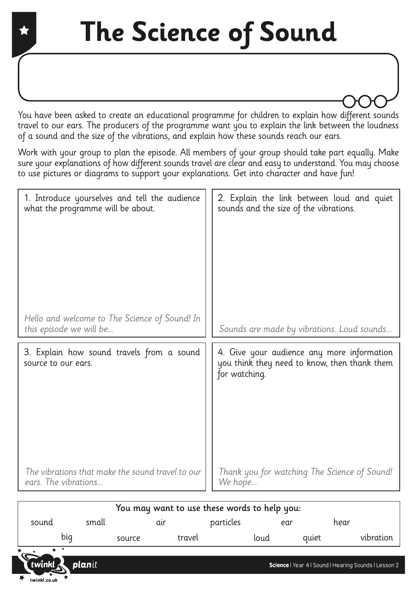You have been asked to create an educational programme for children to explain how different sounds travel to our ears. The producers of the programme want you to explain the link between the loudness of a sound and the size of the vibrations, and explain how these sounds reach our ears.

Work with your group to plan the episode. All members of your group should take part equally. Make sure your explanations of how different sounds travel are clear and easy to understand. You may choose to use pictures or diagrams to support your explanations. Get into character and have fun!

| 1. Introduce yourselves and tell the audience                            | 2. Explain the link between loud and quiet                                                                  |
|--------------------------------------------------------------------------|-------------------------------------------------------------------------------------------------------------|
| what the programme will be about.                                        | sounds and the size of the vibrations.                                                                      |
| Hello and welcome to The Science of Sound! In<br>this episode we will be | Sounds are made by vibrations. Loud sounds                                                                  |
| 3. Explain how sound travels from a sound<br>source to our ears.         | 4. Give your audience any more information<br>you think they need to know, then thank them<br>for watching. |
| The vibrations that make the sound travel to our                         | Thank you for watching The Science of Sound!                                                                |
| ears. The vibrations                                                     | We hope                                                                                                     |

| You may want to use these words to help you: |        |        |        |           |      |       |                                                      |
|----------------------------------------------|--------|--------|--------|-----------|------|-------|------------------------------------------------------|
| sound                                        | small  |        | aır    | particles | ear  |       | hear                                                 |
|                                              | big    | source | travel |           | loud | quiet | vibration                                            |
| 亭                                            |        |        |        |           |      |       |                                                      |
| twinkl                                       | planit |        |        |           |      |       | Science   Year 4   Sound   Hearing Sounds   Lesson 2 |

twinkl.co.uk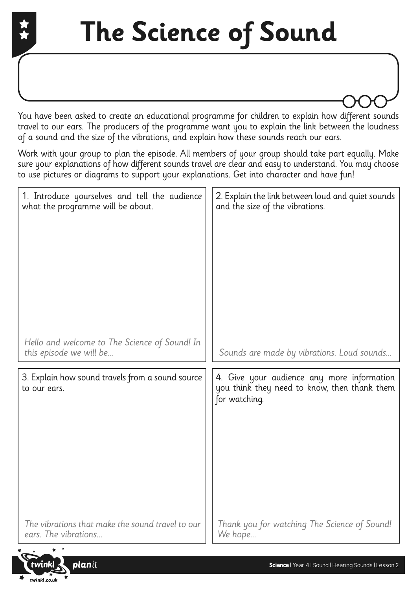## **The Science of Sound**

You have been asked to create an educational programme for children to explain how different sounds travel to our ears. The producers of the programme want you to explain the link between the loudness of a sound and the size of the vibrations, and explain how these sounds reach our ears.

Work with your group to plan the episode. All members of your group should take part equally. Make sure your explanations of how different sounds travel are clear and easy to understand. You may choose to use pictures or diagrams to support your explanations. Get into character and have fun!

| 1. Introduce yourselves and tell the audience                            | 2. Explain the link between loud and quiet sounds                                                           |
|--------------------------------------------------------------------------|-------------------------------------------------------------------------------------------------------------|
| what the programme will be about.                                        | and the size of the vibrations.                                                                             |
| Hello and welcome to The Science of Sound! In<br>this episode we will be | Sounds are made by vibrations. Loud sounds                                                                  |
| 3. Explain how sound travels from a sound source<br>to our ears.         | 4. Give your audience any more information<br>you think they need to know, then thank them<br>for watching. |
| The vibrations that make the sound travel to our                         | Thank you for watching The Science of Sound!                                                                |
| ears. The vibrations                                                     | We hope                                                                                                     |